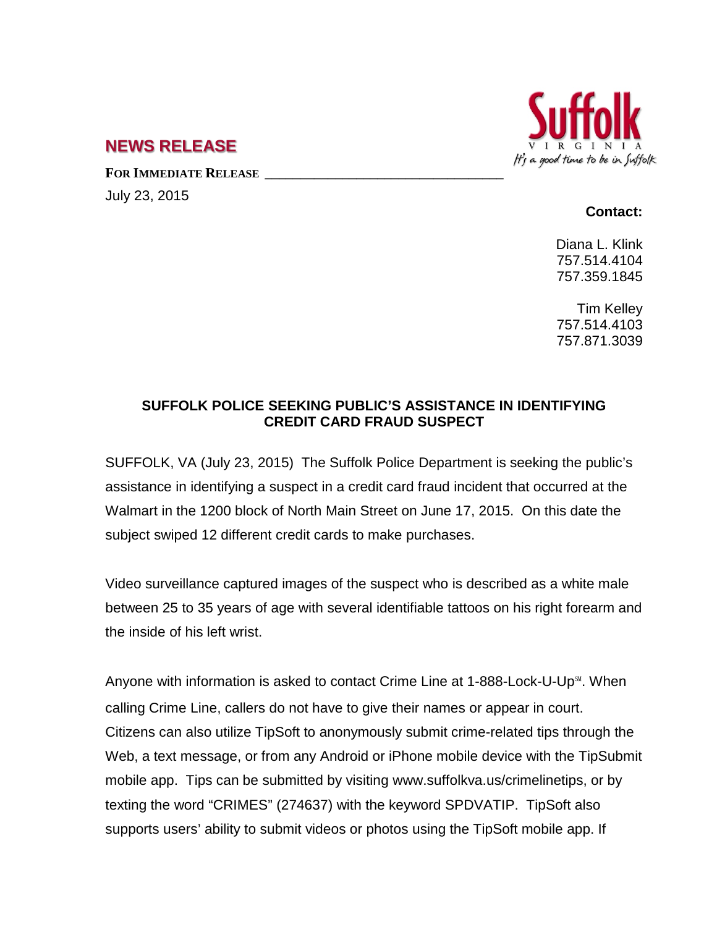

## **NEWS RELEASE**

**FOR IMMEDIATE RELEASE \_\_\_\_\_\_\_\_\_\_\_\_\_\_\_\_\_\_\_\_\_\_\_\_\_\_\_\_\_\_\_\_\_\_**

July 23, 2015

## **Contact:**

Diana L. Klink 757.514.4104 757.359.1845

Tim Kelley 757.514.4103 757.871.3039

## **SUFFOLK POLICE SEEKING PUBLIC'S ASSISTANCE IN IDENTIFYING CREDIT CARD FRAUD SUSPECT**

SUFFOLK, VA (July 23, 2015) The Suffolk Police Department is seeking the public's assistance in identifying a suspect in a credit card fraud incident that occurred at the Walmart in the 1200 block of North Main Street on June 17, 2015. On this date the subject swiped 12 different credit cards to make purchases.

Video surveillance captured images of the suspect who is described as a white male between 25 to 35 years of age with several identifiable tattoos on his right forearm and the inside of his left wrist.

Anyone with information is asked to contact Crime Line at 1-888-Lock-U-Up℠. When calling Crime Line, callers do not have to give their names or appear in court. Citizens can also utilize TipSoft to anonymously submit crime-related tips through the Web, a text message, or from any Android or iPhone mobile device with the TipSubmit mobile app. Tips can be submitted by visiting www.suffolkva.us/crimelinetips, or by texting the word "CRIMES" (274637) with the keyword SPDVATIP. TipSoft also supports users' ability to submit videos or photos using the TipSoft mobile app. If